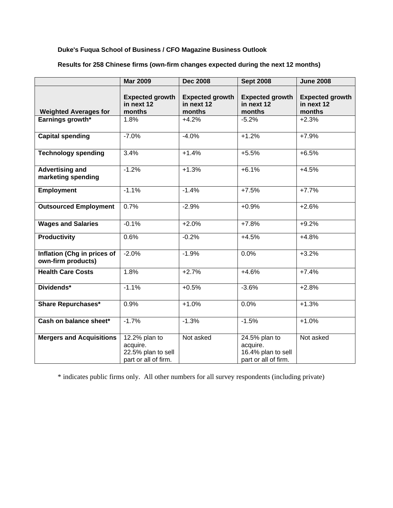## **Duke's Fuqua School of Business / CFO Magazine Business Outlook**

|                                                   | <b>Mar 2009</b>                                                         | <b>Dec 2008</b>                                | <b>Sept 2008</b>                                                        | <b>June 2008</b>                               |
|---------------------------------------------------|-------------------------------------------------------------------------|------------------------------------------------|-------------------------------------------------------------------------|------------------------------------------------|
| <b>Weighted Averages for</b>                      | <b>Expected growth</b><br>in next 12<br>months                          | <b>Expected growth</b><br>in next 12<br>months | <b>Expected growth</b><br>in next 12<br>months                          | <b>Expected growth</b><br>in next 12<br>months |
| Earnings growth*                                  | 1.8%                                                                    | $+4.2%$                                        | $-5.2%$                                                                 | $+2.3%$                                        |
| <b>Capital spending</b>                           | $-7.0%$                                                                 | $-4.0%$                                        | $+1.2%$                                                                 | $+7.9%$                                        |
| <b>Technology spending</b>                        | 3.4%                                                                    | $+1.4%$                                        | $+5.5%$                                                                 | $+6.5%$                                        |
| <b>Advertising and</b><br>marketing spending      | $-1.2%$                                                                 | $+1.3%$                                        | $+6.1%$                                                                 | $+4.5%$                                        |
| <b>Employment</b>                                 | $-1.1%$                                                                 | $-1.4%$                                        | $+7.5%$                                                                 | $+7.7%$                                        |
| <b>Outsourced Employment</b>                      | 0.7%                                                                    | $-2.9%$                                        | $+0.9%$                                                                 | $+2.6%$                                        |
| <b>Wages and Salaries</b>                         | $-0.1%$                                                                 | $+2.0%$                                        | $+7.8%$                                                                 | $+9.2%$                                        |
| <b>Productivity</b>                               | 0.6%                                                                    | $-0.2%$                                        | $+4.5%$                                                                 | $+4.8%$                                        |
| Inflation (Chg in prices of<br>own-firm products) | $-2.0%$                                                                 | $-1.9%$                                        | 0.0%                                                                    | $+3.2%$                                        |
| <b>Health Care Costs</b>                          | 1.8%                                                                    | $+2.7%$                                        | $+4.6%$                                                                 | $+7.4%$                                        |
| Dividends*                                        | $-1.1%$                                                                 | $+0.5%$                                        | $-3.6%$                                                                 | $+2.8%$                                        |
| <b>Share Repurchases*</b>                         | 0.9%                                                                    | $+1.0%$                                        | 0.0%                                                                    | $+1.3%$                                        |
| Cash on balance sheet*                            | $-1.7%$                                                                 | $-1.3%$                                        | $-1.5%$                                                                 | $+1.0%$                                        |
| <b>Mergers and Acquisitions</b>                   | 12.2% plan to<br>acquire.<br>22.5% plan to sell<br>part or all of firm. | Not asked                                      | 24.5% plan to<br>acquire.<br>16.4% plan to sell<br>part or all of firm. | Not asked                                      |

## **Results for 258 Chinese firms (own-firm changes expected during the next 12 months)**

\* indicates public firms only. All other numbers for all survey respondents (including private)